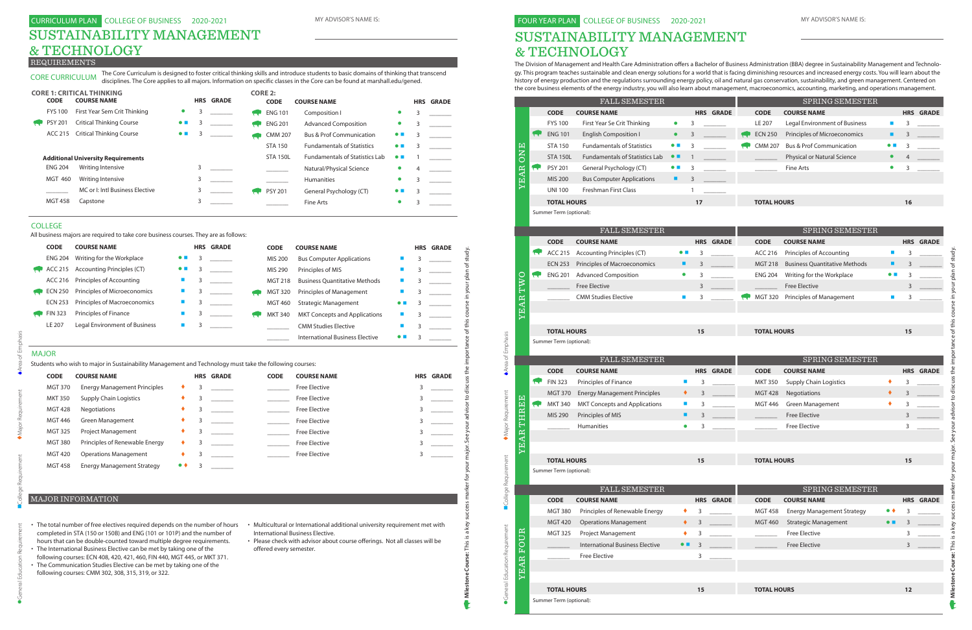# SUSTAINABILITY MANAGEMENT & TECHNOLOGY

The Division of Management and Health Care Administration offers a Bachelor of Business Administration (BBA) degree in Sustainability Management and Technology. This program teaches sustainable and clean energy solutions for a world that is facing diminishing resources and increased energy costs. You will learn about the history of energy production and the regulations surrounding energy policy, oil and natural gas conservation, sustainability, and green management. Centered on the core business elements of the energy industry, you will also learn about management, macroeconomics, accounting, marketing, and operations management.

## CURRICULUM PLAN COLLEGE OF BUSINESS 2020-2021 MY ADVISOR'S NAME IS: **EXECUR YOUR YEAR PLAN COLLEGE OF BUSINESS** 2020-2021 MY ADVISOR'S NAME IS: SUSTAINABILITY MANAGEMENT & TECHNOLOGY

| <b>CODE</b><br><b>COURSE NAME</b><br><b>CODE</b><br><b>HRS GRADE</b><br><b>COURSE NAME</b><br><b>FYS 100</b><br>First Year Se Crit Thinking<br>LE 207<br>Legal Environment of Business<br>$\bullet$<br>3<br><b>ENG 101</b><br><b>English Composition I</b><br><b>ECN 250</b><br>Principles of Microeconomics<br>$\bullet$<br>3<br><b>Fundamentals of Statistics</b><br><b>Bus &amp; Prof Communication</b><br><b>STA 150</b><br>3<br><b>CMM 207</b><br><b>ONE</b><br>$\bullet$ $\blacksquare$<br><b>Fundamentals of Statistics Lab</b><br>Physical or Natural Science<br><b>STA 150L</b><br>$\bullet$ $\blacksquare$<br>-1<br>YEAR<br><b>PSY 201</b><br>General Psychology (CT)<br>Fine Arts<br>3<br><b>kev</b><br>$\bullet$ $\blacksquare$<br><b>MIS 200</b><br><b>Bus Computer Applications</b><br>3<br>٠<br>Freshman First Class<br><b>UNI 100</b><br>$\mathbf{1}$<br><b>TOTAL HOURS</b><br><b>TOTAL HOURS</b><br>17<br>Summer Term (optional):<br><b>FALL SEMESTER</b><br>SPRING SEMESTER<br><b>CODE</b><br><b>COURSE NAME</b><br><b>HRS GRADE</b><br><b>CODE</b><br><b>COURSE NAME</b><br><b>ACC 215</b><br><b>Accounting Principles (CT)</b><br><b>ACC 216</b><br>Principles of Accounting<br>3<br>$\bullet$ $\blacksquare$<br>Principles of Macroeconomics<br><b>Business Quantitative Methods</b><br><b>ECN 253</b><br>٠<br>3<br><b>MGT 218</b><br><b>ENG 201</b><br><b>Advanced Composition</b><br>Writing for the Workplace<br>TWO<br><b>ENG 204</b><br>3<br>$\bullet$<br><b>IC</b><br><b>Free Elective</b><br><b>Free Elective</b><br>3<br><b>CMM Studies Elective</b><br><b>MGT 320</b><br>Principles of Management<br>YEAR<br>$\mathcal{L}_{\mathcal{A}}$<br>3<br><b>TOTAL HOURS</b><br>15<br><b>TOTAL HOURS</b><br>Summer Term (optional):<br><b>FALL SEMESTER</b><br>SPRING SEMESTER<br><b>CODE</b><br><b>COURSE NAME</b><br><b>HRS GRADE</b><br><b>CODE</b><br><b>COURSE NAME</b><br><b>FIN 323</b><br>Principles of Finance<br><b>MKT 350</b><br><b>Supply Chain Logistics</b><br><b>Nove</b><br>$\blacksquare$<br>3<br><b>Energy Management Principles</b><br>٠<br>Negotiations<br><b>MGT 370</b><br>3<br><b>MGT 428</b><br>THREE<br><b>MKT 340</b><br><b>MKT Concepts and Applications</b><br><b>Green Management</b><br><b>MGT 446</b><br><b>C</b><br>3<br>$\blacksquare$<br>MIS 290<br>Principles of MIS<br><b>Free Elective</b><br>٠<br>3<br><b>Free Elective</b><br><b>Humanities</b><br>$\bullet$<br>3<br>EAR<br>ː<br><b>TOTAL HOURS</b><br>15<br><b>TOTAL HOURS</b><br>Summer Term (optional):<br><b>FALL SEMESTER</b><br><b>CODE</b><br><b>COURSE NAME</b><br><b>HRS GRADE</b><br><b>CODE</b><br><b>COURSE NAME</b><br>Principles of Renewable Energy<br><b>Energy Management Strategy</b><br><b>MGT 380</b><br>3<br>٠<br><b>MGT 458</b><br><b>Operations Management</b><br><b>Strategic Management</b><br><b>MGT 420</b><br>٠<br>3<br><b>MGT 460</b><br><b>YEAR FOUR</b><br><b>Free Elective</b><br><b>MGT 325</b><br>Project Management<br>3<br>٠<br><b>International Business Elective</b><br><b>Free Elective</b><br>$\bullet$ $\blacksquare$<br>3<br>3<br>Free Elective | SPRING SEMESTER             |                   |                  |
|--------------------------------------------------------------------------------------------------------------------------------------------------------------------------------------------------------------------------------------------------------------------------------------------------------------------------------------------------------------------------------------------------------------------------------------------------------------------------------------------------------------------------------------------------------------------------------------------------------------------------------------------------------------------------------------------------------------------------------------------------------------------------------------------------------------------------------------------------------------------------------------------------------------------------------------------------------------------------------------------------------------------------------------------------------------------------------------------------------------------------------------------------------------------------------------------------------------------------------------------------------------------------------------------------------------------------------------------------------------------------------------------------------------------------------------------------------------------------------------------------------------------------------------------------------------------------------------------------------------------------------------------------------------------------------------------------------------------------------------------------------------------------------------------------------------------------------------------------------------------------------------------------------------------------------------------------------------------------------------------------------------------------------------------------------------------------------------------------------------------------------------------------------------------------------------------------------------------------------------------------------------------------------------------------------------------------------------------------------------------------------------------------------------------------------------------------------------------------------------------------------------------------------------------------------------------------------------------------------------------------------------------------------------------------------------------------------------------------------------------------------------------------------------------------------------------------------------------------------------------------------------------------------------------------------------------------------------------------------------------------------------------------------------------------------------------------------------------------------|-----------------------------|-------------------|------------------|
|                                                                                                                                                                                                                                                                                                                                                                                                                                                                                                                                                                                                                                                                                                                                                                                                                                                                                                                                                                                                                                                                                                                                                                                                                                                                                                                                                                                                                                                                                                                                                                                                                                                                                                                                                                                                                                                                                                                                                                                                                                                                                                                                                                                                                                                                                                                                                                                                                                                                                                                                                                                                                                                                                                                                                                                                                                                                                                                                                                                                                                                                                                        |                             |                   | <b>HRS GRADE</b> |
|                                                                                                                                                                                                                                                                                                                                                                                                                                                                                                                                                                                                                                                                                                                                                                                                                                                                                                                                                                                                                                                                                                                                                                                                                                                                                                                                                                                                                                                                                                                                                                                                                                                                                                                                                                                                                                                                                                                                                                                                                                                                                                                                                                                                                                                                                                                                                                                                                                                                                                                                                                                                                                                                                                                                                                                                                                                                                                                                                                                                                                                                                                        | ш                           | 3                 |                  |
|                                                                                                                                                                                                                                                                                                                                                                                                                                                                                                                                                                                                                                                                                                                                                                                                                                                                                                                                                                                                                                                                                                                                                                                                                                                                                                                                                                                                                                                                                                                                                                                                                                                                                                                                                                                                                                                                                                                                                                                                                                                                                                                                                                                                                                                                                                                                                                                                                                                                                                                                                                                                                                                                                                                                                                                                                                                                                                                                                                                                                                                                                                        | ٠                           | 3                 |                  |
|                                                                                                                                                                                                                                                                                                                                                                                                                                                                                                                                                                                                                                                                                                                                                                                                                                                                                                                                                                                                                                                                                                                                                                                                                                                                                                                                                                                                                                                                                                                                                                                                                                                                                                                                                                                                                                                                                                                                                                                                                                                                                                                                                                                                                                                                                                                                                                                                                                                                                                                                                                                                                                                                                                                                                                                                                                                                                                                                                                                                                                                                                                        | $\bullet$ $\blacksquare$    | 3                 |                  |
|                                                                                                                                                                                                                                                                                                                                                                                                                                                                                                                                                                                                                                                                                                                                                                                                                                                                                                                                                                                                                                                                                                                                                                                                                                                                                                                                                                                                                                                                                                                                                                                                                                                                                                                                                                                                                                                                                                                                                                                                                                                                                                                                                                                                                                                                                                                                                                                                                                                                                                                                                                                                                                                                                                                                                                                                                                                                                                                                                                                                                                                                                                        | $\bullet$                   |                   |                  |
|                                                                                                                                                                                                                                                                                                                                                                                                                                                                                                                                                                                                                                                                                                                                                                                                                                                                                                                                                                                                                                                                                                                                                                                                                                                                                                                                                                                                                                                                                                                                                                                                                                                                                                                                                                                                                                                                                                                                                                                                                                                                                                                                                                                                                                                                                                                                                                                                                                                                                                                                                                                                                                                                                                                                                                                                                                                                                                                                                                                                                                                                                                        | $\bullet$                   | 3                 |                  |
|                                                                                                                                                                                                                                                                                                                                                                                                                                                                                                                                                                                                                                                                                                                                                                                                                                                                                                                                                                                                                                                                                                                                                                                                                                                                                                                                                                                                                                                                                                                                                                                                                                                                                                                                                                                                                                                                                                                                                                                                                                                                                                                                                                                                                                                                                                                                                                                                                                                                                                                                                                                                                                                                                                                                                                                                                                                                                                                                                                                                                                                                                                        |                             |                   |                  |
|                                                                                                                                                                                                                                                                                                                                                                                                                                                                                                                                                                                                                                                                                                                                                                                                                                                                                                                                                                                                                                                                                                                                                                                                                                                                                                                                                                                                                                                                                                                                                                                                                                                                                                                                                                                                                                                                                                                                                                                                                                                                                                                                                                                                                                                                                                                                                                                                                                                                                                                                                                                                                                                                                                                                                                                                                                                                                                                                                                                                                                                                                                        |                             |                   |                  |
|                                                                                                                                                                                                                                                                                                                                                                                                                                                                                                                                                                                                                                                                                                                                                                                                                                                                                                                                                                                                                                                                                                                                                                                                                                                                                                                                                                                                                                                                                                                                                                                                                                                                                                                                                                                                                                                                                                                                                                                                                                                                                                                                                                                                                                                                                                                                                                                                                                                                                                                                                                                                                                                                                                                                                                                                                                                                                                                                                                                                                                                                                                        |                             | 16                |                  |
|                                                                                                                                                                                                                                                                                                                                                                                                                                                                                                                                                                                                                                                                                                                                                                                                                                                                                                                                                                                                                                                                                                                                                                                                                                                                                                                                                                                                                                                                                                                                                                                                                                                                                                                                                                                                                                                                                                                                                                                                                                                                                                                                                                                                                                                                                                                                                                                                                                                                                                                                                                                                                                                                                                                                                                                                                                                                                                                                                                                                                                                                                                        |                             |                   |                  |
|                                                                                                                                                                                                                                                                                                                                                                                                                                                                                                                                                                                                                                                                                                                                                                                                                                                                                                                                                                                                                                                                                                                                                                                                                                                                                                                                                                                                                                                                                                                                                                                                                                                                                                                                                                                                                                                                                                                                                                                                                                                                                                                                                                                                                                                                                                                                                                                                                                                                                                                                                                                                                                                                                                                                                                                                                                                                                                                                                                                                                                                                                                        |                             |                   |                  |
|                                                                                                                                                                                                                                                                                                                                                                                                                                                                                                                                                                                                                                                                                                                                                                                                                                                                                                                                                                                                                                                                                                                                                                                                                                                                                                                                                                                                                                                                                                                                                                                                                                                                                                                                                                                                                                                                                                                                                                                                                                                                                                                                                                                                                                                                                                                                                                                                                                                                                                                                                                                                                                                                                                                                                                                                                                                                                                                                                                                                                                                                                                        |                             |                   | <b>HRS GRADE</b> |
|                                                                                                                                                                                                                                                                                                                                                                                                                                                                                                                                                                                                                                                                                                                                                                                                                                                                                                                                                                                                                                                                                                                                                                                                                                                                                                                                                                                                                                                                                                                                                                                                                                                                                                                                                                                                                                                                                                                                                                                                                                                                                                                                                                                                                                                                                                                                                                                                                                                                                                                                                                                                                                                                                                                                                                                                                                                                                                                                                                                                                                                                                                        | $\mathcal{L}_{\mathcal{A}}$ | 3                 |                  |
|                                                                                                                                                                                                                                                                                                                                                                                                                                                                                                                                                                                                                                                                                                                                                                                                                                                                                                                                                                                                                                                                                                                                                                                                                                                                                                                                                                                                                                                                                                                                                                                                                                                                                                                                                                                                                                                                                                                                                                                                                                                                                                                                                                                                                                                                                                                                                                                                                                                                                                                                                                                                                                                                                                                                                                                                                                                                                                                                                                                                                                                                                                        | ٠                           | 3                 |                  |
|                                                                                                                                                                                                                                                                                                                                                                                                                                                                                                                                                                                                                                                                                                                                                                                                                                                                                                                                                                                                                                                                                                                                                                                                                                                                                                                                                                                                                                                                                                                                                                                                                                                                                                                                                                                                                                                                                                                                                                                                                                                                                                                                                                                                                                                                                                                                                                                                                                                                                                                                                                                                                                                                                                                                                                                                                                                                                                                                                                                                                                                                                                        | $\bullet$ $\blacksquare$    | 3                 |                  |
|                                                                                                                                                                                                                                                                                                                                                                                                                                                                                                                                                                                                                                                                                                                                                                                                                                                                                                                                                                                                                                                                                                                                                                                                                                                                                                                                                                                                                                                                                                                                                                                                                                                                                                                                                                                                                                                                                                                                                                                                                                                                                                                                                                                                                                                                                                                                                                                                                                                                                                                                                                                                                                                                                                                                                                                                                                                                                                                                                                                                                                                                                                        |                             | 3                 |                  |
|                                                                                                                                                                                                                                                                                                                                                                                                                                                                                                                                                                                                                                                                                                                                                                                                                                                                                                                                                                                                                                                                                                                                                                                                                                                                                                                                                                                                                                                                                                                                                                                                                                                                                                                                                                                                                                                                                                                                                                                                                                                                                                                                                                                                                                                                                                                                                                                                                                                                                                                                                                                                                                                                                                                                                                                                                                                                                                                                                                                                                                                                                                        | $\mathcal{L}_{\mathcal{A}}$ | 3                 |                  |
|                                                                                                                                                                                                                                                                                                                                                                                                                                                                                                                                                                                                                                                                                                                                                                                                                                                                                                                                                                                                                                                                                                                                                                                                                                                                                                                                                                                                                                                                                                                                                                                                                                                                                                                                                                                                                                                                                                                                                                                                                                                                                                                                                                                                                                                                                                                                                                                                                                                                                                                                                                                                                                                                                                                                                                                                                                                                                                                                                                                                                                                                                                        |                             |                   |                  |
|                                                                                                                                                                                                                                                                                                                                                                                                                                                                                                                                                                                                                                                                                                                                                                                                                                                                                                                                                                                                                                                                                                                                                                                                                                                                                                                                                                                                                                                                                                                                                                                                                                                                                                                                                                                                                                                                                                                                                                                                                                                                                                                                                                                                                                                                                                                                                                                                                                                                                                                                                                                                                                                                                                                                                                                                                                                                                                                                                                                                                                                                                                        |                             |                   |                  |
|                                                                                                                                                                                                                                                                                                                                                                                                                                                                                                                                                                                                                                                                                                                                                                                                                                                                                                                                                                                                                                                                                                                                                                                                                                                                                                                                                                                                                                                                                                                                                                                                                                                                                                                                                                                                                                                                                                                                                                                                                                                                                                                                                                                                                                                                                                                                                                                                                                                                                                                                                                                                                                                                                                                                                                                                                                                                                                                                                                                                                                                                                                        |                             | 15                |                  |
|                                                                                                                                                                                                                                                                                                                                                                                                                                                                                                                                                                                                                                                                                                                                                                                                                                                                                                                                                                                                                                                                                                                                                                                                                                                                                                                                                                                                                                                                                                                                                                                                                                                                                                                                                                                                                                                                                                                                                                                                                                                                                                                                                                                                                                                                                                                                                                                                                                                                                                                                                                                                                                                                                                                                                                                                                                                                                                                                                                                                                                                                                                        |                             |                   |                  |
|                                                                                                                                                                                                                                                                                                                                                                                                                                                                                                                                                                                                                                                                                                                                                                                                                                                                                                                                                                                                                                                                                                                                                                                                                                                                                                                                                                                                                                                                                                                                                                                                                                                                                                                                                                                                                                                                                                                                                                                                                                                                                                                                                                                                                                                                                                                                                                                                                                                                                                                                                                                                                                                                                                                                                                                                                                                                                                                                                                                                                                                                                                        |                             |                   |                  |
|                                                                                                                                                                                                                                                                                                                                                                                                                                                                                                                                                                                                                                                                                                                                                                                                                                                                                                                                                                                                                                                                                                                                                                                                                                                                                                                                                                                                                                                                                                                                                                                                                                                                                                                                                                                                                                                                                                                                                                                                                                                                                                                                                                                                                                                                                                                                                                                                                                                                                                                                                                                                                                                                                                                                                                                                                                                                                                                                                                                                                                                                                                        |                             |                   | <b>HRS GRADE</b> |
|                                                                                                                                                                                                                                                                                                                                                                                                                                                                                                                                                                                                                                                                                                                                                                                                                                                                                                                                                                                                                                                                                                                                                                                                                                                                                                                                                                                                                                                                                                                                                                                                                                                                                                                                                                                                                                                                                                                                                                                                                                                                                                                                                                                                                                                                                                                                                                                                                                                                                                                                                                                                                                                                                                                                                                                                                                                                                                                                                                                                                                                                                                        | ٠                           |                   |                  |
|                                                                                                                                                                                                                                                                                                                                                                                                                                                                                                                                                                                                                                                                                                                                                                                                                                                                                                                                                                                                                                                                                                                                                                                                                                                                                                                                                                                                                                                                                                                                                                                                                                                                                                                                                                                                                                                                                                                                                                                                                                                                                                                                                                                                                                                                                                                                                                                                                                                                                                                                                                                                                                                                                                                                                                                                                                                                                                                                                                                                                                                                                                        |                             | 3                 |                  |
|                                                                                                                                                                                                                                                                                                                                                                                                                                                                                                                                                                                                                                                                                                                                                                                                                                                                                                                                                                                                                                                                                                                                                                                                                                                                                                                                                                                                                                                                                                                                                                                                                                                                                                                                                                                                                                                                                                                                                                                                                                                                                                                                                                                                                                                                                                                                                                                                                                                                                                                                                                                                                                                                                                                                                                                                                                                                                                                                                                                                                                                                                                        | ٠                           | 3                 |                  |
|                                                                                                                                                                                                                                                                                                                                                                                                                                                                                                                                                                                                                                                                                                                                                                                                                                                                                                                                                                                                                                                                                                                                                                                                                                                                                                                                                                                                                                                                                                                                                                                                                                                                                                                                                                                                                                                                                                                                                                                                                                                                                                                                                                                                                                                                                                                                                                                                                                                                                                                                                                                                                                                                                                                                                                                                                                                                                                                                                                                                                                                                                                        | ٠                           | 3                 |                  |
|                                                                                                                                                                                                                                                                                                                                                                                                                                                                                                                                                                                                                                                                                                                                                                                                                                                                                                                                                                                                                                                                                                                                                                                                                                                                                                                                                                                                                                                                                                                                                                                                                                                                                                                                                                                                                                                                                                                                                                                                                                                                                                                                                                                                                                                                                                                                                                                                                                                                                                                                                                                                                                                                                                                                                                                                                                                                                                                                                                                                                                                                                                        |                             | 3                 |                  |
|                                                                                                                                                                                                                                                                                                                                                                                                                                                                                                                                                                                                                                                                                                                                                                                                                                                                                                                                                                                                                                                                                                                                                                                                                                                                                                                                                                                                                                                                                                                                                                                                                                                                                                                                                                                                                                                                                                                                                                                                                                                                                                                                                                                                                                                                                                                                                                                                                                                                                                                                                                                                                                                                                                                                                                                                                                                                                                                                                                                                                                                                                                        |                             | 3                 |                  |
|                                                                                                                                                                                                                                                                                                                                                                                                                                                                                                                                                                                                                                                                                                                                                                                                                                                                                                                                                                                                                                                                                                                                                                                                                                                                                                                                                                                                                                                                                                                                                                                                                                                                                                                                                                                                                                                                                                                                                                                                                                                                                                                                                                                                                                                                                                                                                                                                                                                                                                                                                                                                                                                                                                                                                                                                                                                                                                                                                                                                                                                                                                        |                             |                   |                  |
|                                                                                                                                                                                                                                                                                                                                                                                                                                                                                                                                                                                                                                                                                                                                                                                                                                                                                                                                                                                                                                                                                                                                                                                                                                                                                                                                                                                                                                                                                                                                                                                                                                                                                                                                                                                                                                                                                                                                                                                                                                                                                                                                                                                                                                                                                                                                                                                                                                                                                                                                                                                                                                                                                                                                                                                                                                                                                                                                                                                                                                                                                                        |                             |                   |                  |
|                                                                                                                                                                                                                                                                                                                                                                                                                                                                                                                                                                                                                                                                                                                                                                                                                                                                                                                                                                                                                                                                                                                                                                                                                                                                                                                                                                                                                                                                                                                                                                                                                                                                                                                                                                                                                                                                                                                                                                                                                                                                                                                                                                                                                                                                                                                                                                                                                                                                                                                                                                                                                                                                                                                                                                                                                                                                                                                                                                                                                                                                                                        |                             | 15                |                  |
|                                                                                                                                                                                                                                                                                                                                                                                                                                                                                                                                                                                                                                                                                                                                                                                                                                                                                                                                                                                                                                                                                                                                                                                                                                                                                                                                                                                                                                                                                                                                                                                                                                                                                                                                                                                                                                                                                                                                                                                                                                                                                                                                                                                                                                                                                                                                                                                                                                                                                                                                                                                                                                                                                                                                                                                                                                                                                                                                                                                                                                                                                                        |                             |                   |                  |
|                                                                                                                                                                                                                                                                                                                                                                                                                                                                                                                                                                                                                                                                                                                                                                                                                                                                                                                                                                                                                                                                                                                                                                                                                                                                                                                                                                                                                                                                                                                                                                                                                                                                                                                                                                                                                                                                                                                                                                                                                                                                                                                                                                                                                                                                                                                                                                                                                                                                                                                                                                                                                                                                                                                                                                                                                                                                                                                                                                                                                                                                                                        | SPRING SEMESTER             |                   |                  |
|                                                                                                                                                                                                                                                                                                                                                                                                                                                                                                                                                                                                                                                                                                                                                                                                                                                                                                                                                                                                                                                                                                                                                                                                                                                                                                                                                                                                                                                                                                                                                                                                                                                                                                                                                                                                                                                                                                                                                                                                                                                                                                                                                                                                                                                                                                                                                                                                                                                                                                                                                                                                                                                                                                                                                                                                                                                                                                                                                                                                                                                                                                        |                             |                   | <b>HRS GRADE</b> |
|                                                                                                                                                                                                                                                                                                                                                                                                                                                                                                                                                                                                                                                                                                                                                                                                                                                                                                                                                                                                                                                                                                                                                                                                                                                                                                                                                                                                                                                                                                                                                                                                                                                                                                                                                                                                                                                                                                                                                                                                                                                                                                                                                                                                                                                                                                                                                                                                                                                                                                                                                                                                                                                                                                                                                                                                                                                                                                                                                                                                                                                                                                        | $\bullet\bullet$            | 3                 |                  |
|                                                                                                                                                                                                                                                                                                                                                                                                                                                                                                                                                                                                                                                                                                                                                                                                                                                                                                                                                                                                                                                                                                                                                                                                                                                                                                                                                                                                                                                                                                                                                                                                                                                                                                                                                                                                                                                                                                                                                                                                                                                                                                                                                                                                                                                                                                                                                                                                                                                                                                                                                                                                                                                                                                                                                                                                                                                                                                                                                                                                                                                                                                        | $\bullet$ $\blacksquare$    | 3                 |                  |
|                                                                                                                                                                                                                                                                                                                                                                                                                                                                                                                                                                                                                                                                                                                                                                                                                                                                                                                                                                                                                                                                                                                                                                                                                                                                                                                                                                                                                                                                                                                                                                                                                                                                                                                                                                                                                                                                                                                                                                                                                                                                                                                                                                                                                                                                                                                                                                                                                                                                                                                                                                                                                                                                                                                                                                                                                                                                                                                                                                                                                                                                                                        |                             | 3                 |                  |
|                                                                                                                                                                                                                                                                                                                                                                                                                                                                                                                                                                                                                                                                                                                                                                                                                                                                                                                                                                                                                                                                                                                                                                                                                                                                                                                                                                                                                                                                                                                                                                                                                                                                                                                                                                                                                                                                                                                                                                                                                                                                                                                                                                                                                                                                                                                                                                                                                                                                                                                                                                                                                                                                                                                                                                                                                                                                                                                                                                                                                                                                                                        |                             | 3                 |                  |
|                                                                                                                                                                                                                                                                                                                                                                                                                                                                                                                                                                                                                                                                                                                                                                                                                                                                                                                                                                                                                                                                                                                                                                                                                                                                                                                                                                                                                                                                                                                                                                                                                                                                                                                                                                                                                                                                                                                                                                                                                                                                                                                                                                                                                                                                                                                                                                                                                                                                                                                                                                                                                                                                                                                                                                                                                                                                                                                                                                                                                                                                                                        |                             |                   |                  |
|                                                                                                                                                                                                                                                                                                                                                                                                                                                                                                                                                                                                                                                                                                                                                                                                                                                                                                                                                                                                                                                                                                                                                                                                                                                                                                                                                                                                                                                                                                                                                                                                                                                                                                                                                                                                                                                                                                                                                                                                                                                                                                                                                                                                                                                                                                                                                                                                                                                                                                                                                                                                                                                                                                                                                                                                                                                                                                                                                                                                                                                                                                        |                             |                   |                  |
|                                                                                                                                                                                                                                                                                                                                                                                                                                                                                                                                                                                                                                                                                                                                                                                                                                                                                                                                                                                                                                                                                                                                                                                                                                                                                                                                                                                                                                                                                                                                                                                                                                                                                                                                                                                                                                                                                                                                                                                                                                                                                                                                                                                                                                                                                                                                                                                                                                                                                                                                                                                                                                                                                                                                                                                                                                                                                                                                                                                                                                                                                                        |                             |                   |                  |
| <b>TOTAL HOURS</b><br>15<br><b>TOTAL HOURS</b>                                                                                                                                                                                                                                                                                                                                                                                                                                                                                                                                                                                                                                                                                                                                                                                                                                                                                                                                                                                                                                                                                                                                                                                                                                                                                                                                                                                                                                                                                                                                                                                                                                                                                                                                                                                                                                                                                                                                                                                                                                                                                                                                                                                                                                                                                                                                                                                                                                                                                                                                                                                                                                                                                                                                                                                                                                                                                                                                                                                                                                                         |                             | $12 \overline{ }$ |                  |

| <b>CODE</b>    | <b>COURSE NAME</b>                                                                                                                                                                                                                                                                                                                                                                                                                                                                                           |                | нкэ | <b>GRADE</b>     | <b>CODE</b>             | <b>COURSE NAME</b>                                                                                                                                                                             |                          |   | <b>HRS GRADE</b> |
|----------------|--------------------------------------------------------------------------------------------------------------------------------------------------------------------------------------------------------------------------------------------------------------------------------------------------------------------------------------------------------------------------------------------------------------------------------------------------------------------------------------------------------------|----------------|-----|------------------|-------------------------|------------------------------------------------------------------------------------------------------------------------------------------------------------------------------------------------|--------------------------|---|------------------|
| <b>ENG 204</b> | Writing for the Workplace                                                                                                                                                                                                                                                                                                                                                                                                                                                                                    |                | 3   |                  | <b>MIS 200</b>          | <b>Bus Computer Applications</b>                                                                                                                                                               |                          | 3 |                  |
| ACC 215        | Accounting Principles (CT)                                                                                                                                                                                                                                                                                                                                                                                                                                                                                   | $\bullet$ H    | 3   |                  | MIS 290                 | Principles of MIS                                                                                                                                                                              |                          | 3 |                  |
| ACC 216        | Principles of Accounting                                                                                                                                                                                                                                                                                                                                                                                                                                                                                     | $\blacksquare$ | 3   |                  | <b>MGT 218</b>          | <b>Business Quantitative Methods</b>                                                                                                                                                           | П                        | 3 |                  |
| $ECN$ 250      | Principles of Microeconomics                                                                                                                                                                                                                                                                                                                                                                                                                                                                                 | $\blacksquare$ | 3   |                  | <b>MGT 320</b>          | Principles of Management                                                                                                                                                                       | $\blacksquare$           | 3 |                  |
| <b>ECN 253</b> | Principles of Macroeconomics                                                                                                                                                                                                                                                                                                                                                                                                                                                                                 | $\blacksquare$ | 3   |                  | <b>MGT 460</b>          | <b>Strategic Management</b>                                                                                                                                                                    | $\bullet$ $\blacksquare$ | 3 |                  |
| <b>FIN 323</b> | Principles of Finance                                                                                                                                                                                                                                                                                                                                                                                                                                                                                        | $\blacksquare$ | 3   |                  | <b>MKT 340</b>          | <b>MKT Concepts and Applications</b>                                                                                                                                                           |                          | 3 |                  |
| LE 207         | Legal Environment of Business                                                                                                                                                                                                                                                                                                                                                                                                                                                                                | I.             | 3   |                  |                         | <b>CMM Studies Elective</b>                                                                                                                                                                    |                          | 3 |                  |
|                |                                                                                                                                                                                                                                                                                                                                                                                                                                                                                                              |                |     |                  |                         | <b>International Business Elective</b>                                                                                                                                                         | $\bullet\ \blacksquare$  | 3 |                  |
| MAJOR          |                                                                                                                                                                                                                                                                                                                                                                                                                                                                                                              |                |     |                  |                         |                                                                                                                                                                                                |                          |   |                  |
|                | tudents who wish to major in Sustainability Management and Technology must take the following courses:                                                                                                                                                                                                                                                                                                                                                                                                       |                |     |                  |                         |                                                                                                                                                                                                |                          |   |                  |
| <b>CODE</b>    | <b>COURSE NAME</b>                                                                                                                                                                                                                                                                                                                                                                                                                                                                                           |                |     | <b>HRS GRADE</b> | <b>CODE</b>             | <b>COURSE NAME</b>                                                                                                                                                                             |                          |   | <b>HRS GRADE</b> |
| <b>MGT 370</b> | <b>Energy Management Principles</b>                                                                                                                                                                                                                                                                                                                                                                                                                                                                          |                | 3   |                  |                         | <b>Free Elective</b>                                                                                                                                                                           |                          | 3 |                  |
| <b>MKT 350</b> | <b>Supply Chain Logistics</b>                                                                                                                                                                                                                                                                                                                                                                                                                                                                                | ٠              | 3   |                  |                         | <b>Free Elective</b>                                                                                                                                                                           |                          | 3 |                  |
| <b>MGT 428</b> | Negotiations                                                                                                                                                                                                                                                                                                                                                                                                                                                                                                 | ٠              | 3   |                  | $\sim 10^{11}$          | <b>Free Elective</b>                                                                                                                                                                           |                          | 3 |                  |
| <b>MGT 446</b> | <b>Green Management</b>                                                                                                                                                                                                                                                                                                                                                                                                                                                                                      | ٠              | 3   |                  |                         | <b>Free Elective</b>                                                                                                                                                                           |                          | 3 |                  |
| <b>MGT 325</b> | <b>Project Management</b>                                                                                                                                                                                                                                                                                                                                                                                                                                                                                    | ٠              | 3   |                  | $\sim$                  | <b>Free Elective</b>                                                                                                                                                                           |                          | 3 |                  |
| <b>MGT 380</b> | Principles of Renewable Energy                                                                                                                                                                                                                                                                                                                                                                                                                                                                               | ٠              | 3   |                  |                         | <b>Free Elective</b>                                                                                                                                                                           |                          | 3 |                  |
| <b>MGT 420</b> | <b>Operations Management</b>                                                                                                                                                                                                                                                                                                                                                                                                                                                                                 |                | 3   |                  |                         | <b>Free Elective</b>                                                                                                                                                                           |                          | 3 |                  |
| <b>MGT 458</b> | <b>Energy Management Strategy</b>                                                                                                                                                                                                                                                                                                                                                                                                                                                                            |                | 3   |                  |                         |                                                                                                                                                                                                |                          |   |                  |
|                | <b>AAJOR INFORMATION</b>                                                                                                                                                                                                                                                                                                                                                                                                                                                                                     |                |     |                  |                         |                                                                                                                                                                                                |                          |   |                  |
|                | The total number of free electives required depends on the number of hours<br>completed in STA (150 or 150B) and ENG (101 or 101P) and the number of<br>hours that can be double-counted toward multiple degree requirements.<br>The International Business Elective can be met by taking one of the<br>following courses: ECN 408, 420, 421, 460, FIN 440, MGT 445, or MKT 371.<br>The Communication Studies Elective can be met by taking one of the<br>following courses: CMM 302, 308, 315, 319, or 322. |                |     |                  | offered every semester. | • Multicultural or International additional university requirement met with<br>International Business Elective.<br>• Please check with advisor about course offerings. Not all classes will be |                          |   |                  |

# MAJOR

#### REQUIREMENTS CORE CURRICULUM The Core Curriculum is designed to foster critical thinking skills and introduce students to basic domains of thinking that transcend disciplines. The Core applies to all majors. Information on specific classes in the Core can be found at marshall.edu/gened.

| <b>CODE</b>    | <b>CORE 1: CRITICAL THINKING</b><br><b>COURSE NAME</b> |                          |   | <b>HRS GRADE</b> | <b>CORE 2:</b> | <b>CODE</b>     | <b>COURSE NAME</b>                    |                          | <b>HRS</b> | <b>GRADE</b> |
|----------------|--------------------------------------------------------|--------------------------|---|------------------|----------------|-----------------|---------------------------------------|--------------------------|------------|--------------|
| <b>FYS 100</b> | First Year Sem Crit Thinking                           |                          | 3 |                  |                | <b>ENG 101</b>  | Composition I                         |                          | 3          |              |
| <b>PSY 201</b> | <b>Critical Thinking Course</b>                        | $\bullet$ $\blacksquare$ | 3 |                  |                | <b>ENG 201</b>  | <b>Advanced Composition</b>           |                          | 3          |              |
| ACC 215        | <b>Critical Thinking Course</b>                        | $\bullet$ $\blacksquare$ | 3 |                  |                | <b>CMM 207</b>  | <b>Bus &amp; Prof Communication</b>   | $\bullet$ $\blacksquare$ | 3          |              |
|                |                                                        |                          |   |                  |                | <b>STA 150</b>  | <b>Fundamentals of Statistics</b>     | $\bullet$ $\blacksquare$ | 3          |              |
|                | <b>Additional University Requirements</b>              |                          |   |                  |                | <b>STA 150L</b> | <b>Fundamentals of Statistics Lab</b> | $\bullet$ $\blacksquare$ |            |              |
| <b>ENG 204</b> | Writing Intensive                                      |                          |   |                  |                |                 | Natural/Physical Science              |                          | 4          |              |
| <b>MGT 460</b> | Writing Intensive                                      |                          |   |                  |                |                 | <b>Humanities</b>                     |                          | 3          |              |
|                | MC or I: Intl Business Elective                        |                          | 3 |                  |                | <b>PSY 201</b>  | General Psychology (CT)               | $\bullet$ $\blacksquare$ | 3          |              |
| <b>MGT 458</b> | Capstone                                               |                          |   |                  |                |                 | <b>Fine Arts</b>                      |                          |            |              |

- The total number of free electives required depends on the number of hours completed in STA (150 or 150B) and ENG (101 or 101P) and the number of hours that can be double-counted toward multiple degree requirements.
- The International Business Elective can be met by taking one of the following courses: ECN 408, 420, 421, 460, FIN 440, MGT 445, or MKT 371.
- The Communication Studies Elective can be met by taking one of the following courses: CMM 302, 308, 315, 319, or 322.
- Multicultural or International additional university requirement met with International Business Elective.
- Please check with advisor about course offerings. Not all classes will be offered every semester.

### MAJOR INFORMATION

#### COLLEGE

All business majors are required to take core business courses. They are as follows:

| <b>CODE</b>    | <b>COURSE NAME</b>                                    |   | <b>HRS GRADE</b> | <b>CODE</b>    | <b>COURSE NAME</b>                   |                          | <b>HRS GRADE</b> |
|----------------|-------------------------------------------------------|---|------------------|----------------|--------------------------------------|--------------------------|------------------|
| <b>ENG 204</b> | Writing for the Workplace<br>$\bullet$ $\blacksquare$ |   |                  | MIS 200        | <b>Bus Computer Applications</b>     |                          |                  |
|                | ACC 215 Accounting Principles (CT)<br>$\bullet$ .     | 3 |                  | MIS 290        | Principles of MIS                    |                          |                  |
| ACC 216        | Principles of Accounting                              |   |                  | MGT 218        | <b>Business Ouantitative Methods</b> |                          |                  |
| <b>ECN 250</b> | Principles of Microeconomics                          |   |                  | MGT 320        | Principles of Management             |                          |                  |
| <b>ECN 253</b> | Principles of Macroeconomics                          |   |                  | MGT 460        | <b>Strategic Management</b>          | $\bullet$ H              |                  |
| <b>FIN 323</b> | Principles of Finance                                 |   |                  | <b>MKT 340</b> | <b>MKT Concepts and Applications</b> |                          |                  |
| LE 207         | Legal Environment of Business                         |   |                  |                | <b>CMM Studies Elective</b>          |                          |                  |
|                |                                                       |   |                  |                | International Business Elective      | $\bullet$ $\blacksquare$ |                  |